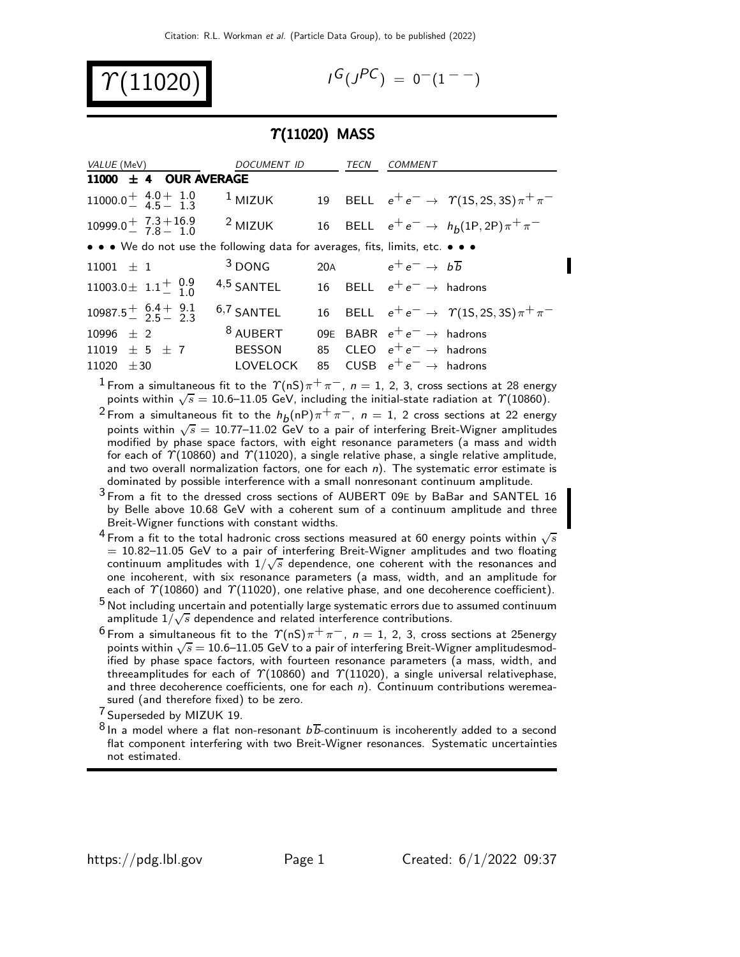

$$
I^G(J^{PC}) = 0^-(1^{--})
$$

#### $\Upsilon(11020)$  MASS

| <i>VALUE</i> (MeV)                                                            | DOCUMENT ID           |     | TECN | COMMENT                               |                                                   |
|-------------------------------------------------------------------------------|-----------------------|-----|------|---------------------------------------|---------------------------------------------------|
| 11000 $\pm$ 4 OUR AVERAGE                                                     |                       |     |      |                                       |                                                   |
| $11000.0^{+}$ $\frac{4.0^{+}}{4.5^{+}}$ $\frac{1.0^{+}}{1.3}$                 | $1$ MIZUK             |     |      |                                       | 19 BELL $e^+e^- \to \gamma(1S, 2S, 3S)\pi^+\pi^-$ |
| $10999.0 \frac{+}{7}$ $7.3 + 16.9$<br>$7.8 - 1.0$                             | $2$ MIZUK             |     |      |                                       | 16 BELL $e^+e^- \to h_b(1P, 2P)\pi^+\pi^-$        |
| • • • We do not use the following data for averages, fits, limits, etc. • • • |                       |     |      |                                       |                                                   |
| $11001 \pm 1$                                                                 | $3$ DONG              | 20A |      | $e^+e^- \rightarrow b\overline{b}$    |                                                   |
| 11003.0 $\pm$ 1.1 $^{+}_{-}$ 1.0                                              | $4,5$ SANTEL          |     |      | 16 BELL $e^+e^- \rightarrow$ hadrons  |                                                   |
| $10987.5^{+}_{-}$ $\frac{6.4}{2.5}$ $\frac{9.1}{2.3}$                         | <sup>6,7</sup> SANTEL |     |      |                                       | 16 BELL $e^+e^- \to \gamma(1S, 2S, 3S)\pi^+\pi^-$ |
| $10996 + 2$                                                                   | <sup>8</sup> AUBERT   |     |      | 09E BABR $e^+e^- \rightarrow$ hadrons |                                                   |
| $11019 \pm 5 \pm 7$                                                           | <b>BESSON</b>         |     |      | 85 CLEO $e^+e^- \rightarrow$ hadrons  |                                                   |
| $11020 \pm 30$                                                                | <b>LOVELOCK</b>       | 85  |      | CUSB $e^+e^- \rightarrow$ hadrons     |                                                   |

 $^1$  From a simultaneous fit to the  $\varUpsilon(\mathsf{nS})\pi^+\pi^-$ ,  $n=1,\,2,\,3,$  cross sections at 28 energy points within  $\sqrt{s} = 10.6$ –11.05 GeV, including the initial-state radiation at  $\gamma$ (10860).

 $^2$ From a simultaneous fit to the  $h^{}_{\textit{D}}(\mathsf{n}\mathsf{P})\pi^+\pi^-$ ,  $\textit{n}=1$ ,  $2$  cross sections at 22 energy points within  $\sqrt{s} = 10.77$ –11.02 GeV to a pair of interfering Breit-Wigner amplitudes modified by phase space factors, with eight resonance parameters (a mass and width for each of  $\gamma(10860)$  and  $\gamma(11020)$ , a single relative phase, a single relative amplitude, and two overall normalization factors, one for each  $n$ ). The systematic error estimate is dominated by possible interference with a small nonresonant continuum amplitude.

 $3$  From a fit to the dressed cross sections of AUBERT 09E by BaBar and SANTEL 16 by Belle above 10.68 GeV with a coherent sum of a continuum amplitude and three Breit-Wigner functions with constant widths.

<sup>4</sup> From a fit to the total hadronic cross sections measured at 60 energy points within  $\sqrt{s}$  $= 10.82 - 11.05$  GeV to a pair of interfering Breit-Wigner amplitudes and two floating continuum amplitudes with  $1/\sqrt{s}$  dependence, one coherent with the resonances and one incoherent, with six resonance parameters (a mass, width, and an amplitude for each of  $\Upsilon(10860)$  and  $\Upsilon(11020)$ , one relative phase, and one decoherence coefficient).

 $5$  Not including uncertain and potentially large systematic errors due to assumed continuum  $\frac{1}{2}$  amplitude  $1/\sqrt{s}$  dependence and related interference contributions.

 $^6$  From a simultaneous fit to the  $\Upsilon(nS)\pi^+\pi^-, \; n=1,\; 2,\; 3,$  cross sections at 25energy points within  $\sqrt{s} = 10.6$ –11.05 GeV to a pair of interfering Breit-Wigner amplitudesmodified by phase space factors, with fourteen resonance parameters (a mass, width, and threeamplitudes for each of  $\Upsilon(10860)$  and  $\Upsilon(11020)$ , a single universal relativephase, and three decoherence coefficients, one for each  $n$ ). Continuum contributions weremeasured (and therefore fixed) to be zero.

<sup>7</sup> Superseded by MIZUK 19.

 $8$  In a model where a flat non-resonant  $b\overline{b}$ -continuum is incoherently added to a second flat component interfering with two Breit-Wigner resonances. Systematic uncertainties not estimated.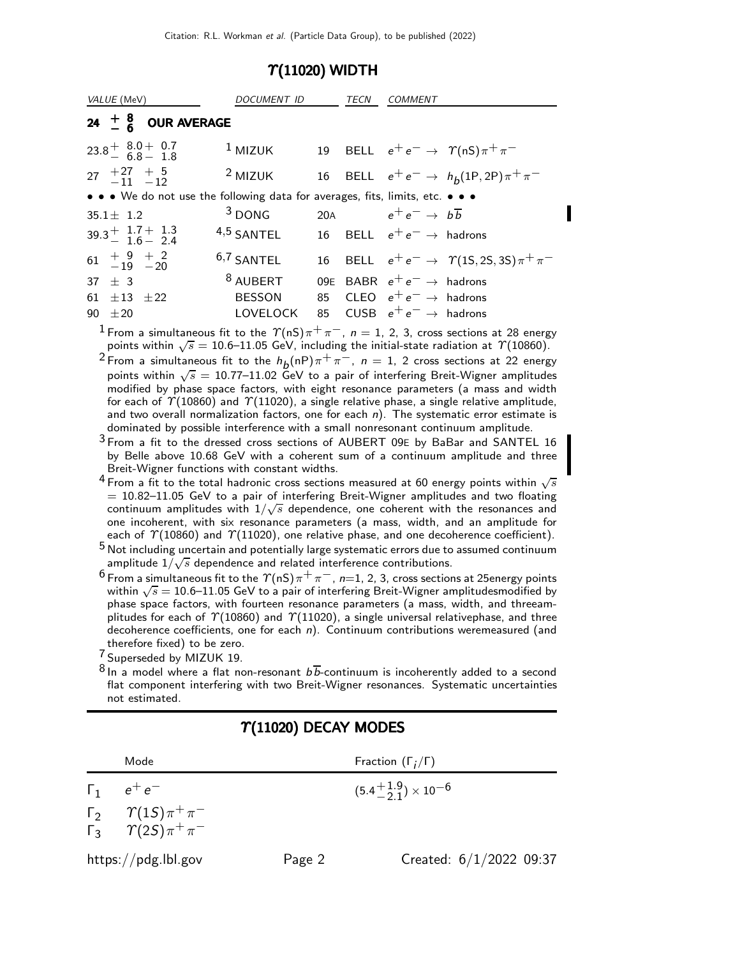#### $\Upsilon(11020)$  WIDTH

| VALUE (MeV)                                                                   | <i>DOCUMENT ID</i>                   | TECN | <i>COMMENT</i>                                                                |
|-------------------------------------------------------------------------------|--------------------------------------|------|-------------------------------------------------------------------------------|
| 24 $\frac{+}{6}$ 8 OUR AVERAGE                                                |                                      |      |                                                                               |
| $23.8^{+}$ $8.0^{+}$ 0.7<br>6.8 - 1.8                                         | $1$ MIZUK                            |      | 19 BELL $e^+e^- \rightarrow \gamma(nS)\pi^+\pi^-$                             |
| 27 $+27$ $+5$<br>-11 -12                                                      | $2$ MIZUK                            |      | 16 BELL $e^+e^- \to h_b(1P, 2P)\pi^+\pi^-$                                    |
| • • • We do not use the following data for averages, fits, limits, etc. • • • |                                      |      |                                                                               |
| $35.1 \pm 1.2$                                                                | $3$ DONG                             |      | 20A $e^+e^- \rightarrow b\overline{b}$                                        |
| $39.3^{+}$ $1.7^{+}$ $1.3$<br>$1.6^{-}$ 2.4                                   | $4,5$ SANTEL                         |      | 16 BELL $e^+e^- \rightarrow$ hadrons                                          |
| $61 + 9 + 2$<br>$-19 - 20$                                                    | $6,7$ SANTEL                         |      | 16 BELL $e^+e^- \to \gamma(1S, 2S, 3S)\pi^+\pi^-$                             |
| $37 + 3$<br>61 $\pm$ 13 $\pm$ 22                                              | <sup>8</sup> AUBERT<br><b>BESSON</b> |      | 09E BABR $e^+e^- \rightarrow$ hadrons<br>85 CLEO $e^+e^- \rightarrow$ hadrons |
| $90 + 20$                                                                     | LOVELOCK                             |      | 85 CUSB $e^+e^- \rightarrow$ hadrons                                          |

<sup>1</sup> From a simultaneous fit to the  $\Upsilon(nS)\pi^{+}\pi^{-}$ ,  $n=1, 2, 3$ , cross sections at 28 energy points within  $\sqrt{s} = 10.6$ –11.05 GeV, including the initial-state radiation at  $\gamma(10860)$ .

 $^2$  From a simultaneous fit to the  $h_b({\sf nP})\pi^+\pi^-$ ,  $n=1,\ 2$  cross sections at 22 energy points within  $\sqrt{s} = 10.77$ –11.02 GeV to a pair of interfering Breit-Wigner amplitudes modified by phase space factors, with eight resonance parameters (a mass and width for each of  $\gamma$ (10860) and  $\gamma$ (11020), a single relative phase, a single relative amplitude, and two overall normalization factors, one for each  $n$ ). The systematic error estimate is dominated by possible interference with a small nonresonant continuum amplitude.

3 From a fit to the dressed cross sections of AUBERT 09<sup>E</sup> by BaBar and SANTEL 16 by Belle above 10.68 GeV with a coherent sum of a continuum amplitude and three Breit-Wigner functions with constant widths.

- $^4$  From a fit to the total hadronic cross sections measured at 60 energy points within  $\sqrt{s}$  $= 10.82 - 11.05$  GeV to a pair of interfering Breit-Wigner amplitudes and two floating continuum amplitudes with  $1/\sqrt{s}$  dependence, one coherent with the resonances and one incoherent, with six resonance parameters (a mass, width, and an amplitude for each of  $\Upsilon(10860)$  and  $\Upsilon(11020)$ , one relative phase, and one decoherence coefficient).
- 5 Not including uncertain and potentially large systematic errors due to assumed continuum  $\frac{1}{2}$  amplitude  $1/\sqrt{s}$  dependence and related interference contributions.
- $^6$  From a simultaneous fit to the  $\varUpsilon$ (nS) $\pi^+\pi^-$ , *n*=1, 2, 3, cross sections at 25energy points within  $\sqrt{s} = 10.6$ –11.05 GeV to a pair of interfering Breit-Wigner amplitudesmodified by phase space factors, with fourteen resonance parameters (a mass, width, and threeamplitudes for each of  $\Upsilon(10860)$  and  $\Upsilon(11020)$ , a single universal relativephase, and three decoherence coefficients, one for each  $n$ ). Continuum contributions weremeasured (and therefore fixed) to be zero.

7 Superseded by MIZUK 19.

 $8$  In a model where a flat non-resonant  $b\overline{b}$ -continuum is incoherently added to a second flat component interfering with two Breit-Wigner resonances. Systematic uncertainties not estimated.

| Mode                                                                            |        | Fraction $(\Gamma_i/\Gamma)$         |  |  |  |  |  |
|---------------------------------------------------------------------------------|--------|--------------------------------------|--|--|--|--|--|
| $\Gamma_1$ $e^+e^-$                                                             |        | $(5.4^{+1.9}_{-2.1}) \times 10^{-6}$ |  |  |  |  |  |
| $\Gamma_2 \qquad \Upsilon(15) \pi^+ \pi^-$<br>$\Gamma_3$ $\gamma(2S)\pi^+\pi^-$ |        |                                      |  |  |  |  |  |
| $\frac{https://pdg.1b1.gov}{%$                                                  | Page 2 | Created: $6/1/2022$ 09:37            |  |  |  |  |  |

### $\Upsilon(11020)$  DECAY MODES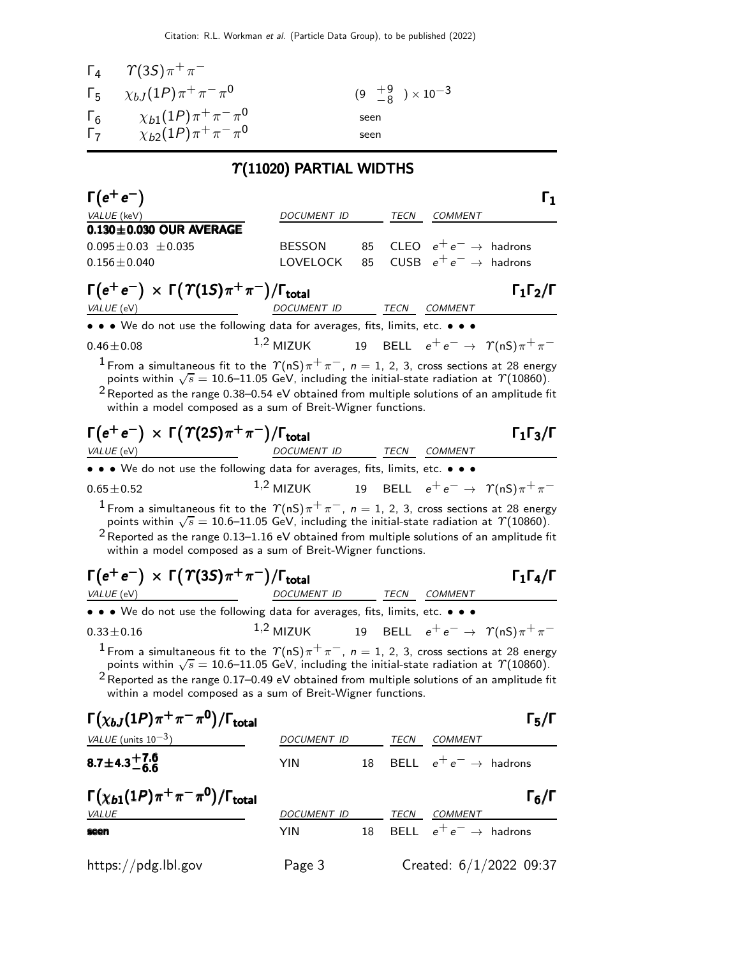|            | $\Gamma_4 \quad \gamma(35) \pi^+ \pi^-$    |                                     |
|------------|--------------------------------------------|-------------------------------------|
|            | $\Gamma_5 = \chi_{b,I}(1P)\pi^+\pi^-\pi^0$ | $(9 \tfrac{+9}{-8}) \times 10^{-3}$ |
| $\Gamma_6$ | $\chi_{b1}(1P)\pi^+\pi^-\pi^0$             | seen                                |
| $\Gamma_7$ | $\chi_{b2}(1P)\pi^+\pi^-\pi^0$             | seen                                |

# $\gamma$ (11020) PARTIAL WIDTHS

| $\Gamma(e^+e^-)$                                                                                                                                                                                                                                                                                                                                                                                 |               |    |             |                                   | $\mathsf{r}_1$                                    |
|--------------------------------------------------------------------------------------------------------------------------------------------------------------------------------------------------------------------------------------------------------------------------------------------------------------------------------------------------------------------------------------------------|---------------|----|-------------|-----------------------------------|---------------------------------------------------|
| VALUE (keV)                                                                                                                                                                                                                                                                                                                                                                                      | DOCUMENT ID   |    |             | TECN COMMENT                      |                                                   |
| $0.130 \pm 0.030$ OUR AVERAGE                                                                                                                                                                                                                                                                                                                                                                    |               |    |             |                                   |                                                   |
| $0.095 \pm 0.03 \pm 0.035$                                                                                                                                                                                                                                                                                                                                                                       | <b>BESSON</b> | 85 |             | CLEO $e^+e^- \rightarrow$ hadrons |                                                   |
| $0.156 \pm 0.040$                                                                                                                                                                                                                                                                                                                                                                                | LOVELOCK      | 85 |             | CUSB $e^+e^- \rightarrow$ hadrons |                                                   |
| $\Gamma(e^+e^-) \times \Gamma(\Upsilon(1S)\pi^+\pi^-)/\Gamma_{\text{total}}$<br>VALUE (eV)                                                                                                                                                                                                                                                                                                       | DOCUMENT ID   |    | TECN        | COMMENT                           | $\Gamma_1\Gamma_2/\Gamma$                         |
| • • We do not use the following data for averages, fits, limits, etc. • • •                                                                                                                                                                                                                                                                                                                      |               |    |             |                                   |                                                   |
| $0.46 \pm 0.08$                                                                                                                                                                                                                                                                                                                                                                                  | $1,2$ MIZUK   |    |             |                                   | 19 BELL $e^+e^- \rightarrow \gamma(nS)\pi^+\pi^-$ |
| $^1$ From a simultaneous fit to the $\varUpsilon(nS)\pi^+\pi^-,~n=1,~2,~3,~\text{cross sections at}~28~\text{energy}$<br>points within $\sqrt{s} = 10.6$ –11.05 GeV, including the initial-state radiation at $\gamma$ (10860).<br>$2$ Reported as the range 0.38–0.54 eV obtained from multiple solutions of an amplitude fit<br>within a model composed as a sum of Breit-Wigner functions.    |               |    |             |                                   |                                                   |
| $\Gamma(e^+e^-) \times \Gamma(\Upsilon(2S)\pi^+\pi^-)/\Gamma_{\text{total}}$                                                                                                                                                                                                                                                                                                                     |               |    |             |                                   | $\Gamma_1\Gamma_3/\Gamma$                         |
| VALUE (eV)                                                                                                                                                                                                                                                                                                                                                                                       | DOCUMENT ID   |    | TECN        | COMMENT                           |                                                   |
| • • We do not use the following data for averages, fits, limits, etc. • • •                                                                                                                                                                                                                                                                                                                      |               |    |             |                                   |                                                   |
| $0.65 \pm 0.52$                                                                                                                                                                                                                                                                                                                                                                                  | $1,2$ MIZUK   |    |             |                                   | 19 BELL $e^+e^- \rightarrow \gamma(nS)\pi^+\pi^-$ |
| $^1$ From a simultaneous fit to the $\varUpsilon(nS)\pi^+\pi^-,~n=1,~2,~3,~\text{cross sections at}~28~\text{energy}$<br>points within $\sqrt{s} = 10.6 - 11.05$ GeV, including the initial-state radiation at $\Upsilon(10860)$ .<br>$2$ Reported as the range 0.13–1.16 eV obtained from multiple solutions of an amplitude fit<br>within a model composed as a sum of Breit-Wigner functions. |               |    |             |                                   |                                                   |
| $\Gamma(e^+e^-) \times \Gamma(\Upsilon(3S)\pi^+\pi^-)/\Gamma_{\text{total}}$                                                                                                                                                                                                                                                                                                                     |               |    |             |                                   | $\Gamma_1\Gamma_4/\Gamma$                         |
| VALUE (eV)                                                                                                                                                                                                                                                                                                                                                                                       | DOCUMENT ID   |    | TECN        | COMMENT                           |                                                   |
| • • We do not use the following data for averages, fits, limits, etc. • • •                                                                                                                                                                                                                                                                                                                      |               |    |             |                                   |                                                   |
| $0.33 \pm 0.16$                                                                                                                                                                                                                                                                                                                                                                                  | $1,2$ MIZUK   |    |             |                                   | 19 BELL $e^+e^- \rightarrow \gamma(nS)\pi^+\pi^-$ |
| <sup>1</sup> From a simultaneous fit to the $\Upsilon(nS)\pi^+\pi^-, n = 1, 2, 3$ , cross sections at 28 energy<br>points within $\sqrt{s} = 10.6 - 11.05$ GeV, including the initial-state radiation at $\gamma$ (10860).<br>$2$ Reported as the range 0.17–0.49 eV obtained from multiple solutions of an amplitude fit<br>within a model composed as a sum of Breit-Wigner functions.         |               |    |             |                                   |                                                   |
| $\Gamma(\chi_{bJ}(1P)\pi^+\pi^-\pi^0)/\Gamma_{\rm total}$                                                                                                                                                                                                                                                                                                                                        |               |    |             |                                   | $\Gamma_5/\Gamma$                                 |
| VALUE (units $10^{-3}$ )                                                                                                                                                                                                                                                                                                                                                                         | DOCUMENT ID   |    | TECN        | COMMENT                           |                                                   |
| $8.7 \pm 4.3 + 7.6$                                                                                                                                                                                                                                                                                                                                                                              | YIN           | 18 | <b>BELL</b> | $e^+e^- \rightarrow$ hadrons      |                                                   |
|                                                                                                                                                                                                                                                                                                                                                                                                  |               |    |             |                                   |                                                   |

| $\Gamma(\chi_{b1}(1P)\pi^+\pi^-\pi^0)/\Gamma_{\rm total}$ |                    |    |      |                                   | $\Gamma_6/\Gamma$ |
|-----------------------------------------------------------|--------------------|----|------|-----------------------------------|-------------------|
| <i>VALUE</i>                                              | <b>DOCUMENT ID</b> |    | TECN | <i>COMMENT</i>                    |                   |
| seen                                                      | YIN                | 18 |      | BELL $e^+e^- \rightarrow$ hadrons |                   |
| https://pdg.lbl.gov                                       | Page 3             |    |      | Created: 6/1/2022 09:37           |                   |